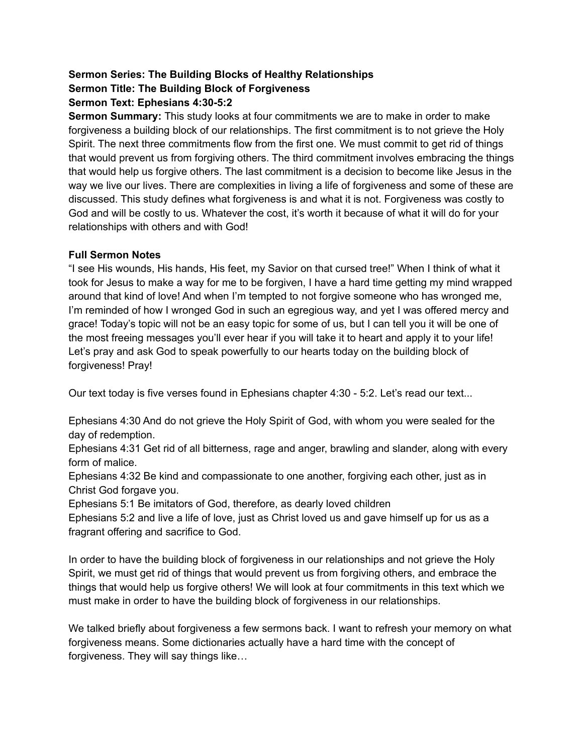#### **Sermon Series: The Building Blocks of Healthy Relationships Sermon Title: The Building Block of Forgiveness Sermon Text: Ephesians 4:30-5:2**

**Sermon Summary:** This study looks at four commitments we are to make in order to make forgiveness a building block of our relationships. The first commitment is to not grieve the Holy Spirit. The next three commitments flow from the first one. We must commit to get rid of things that would prevent us from forgiving others. The third commitment involves embracing the things that would help us forgive others. The last commitment is a decision to become like Jesus in the way we live our lives. There are complexities in living a life of forgiveness and some of these are discussed. This study defines what forgiveness is and what it is not. Forgiveness was costly to God and will be costly to us. Whatever the cost, it's worth it because of what it will do for your relationships with others and with God!

# **Full Sermon Notes**

"I see His wounds, His hands, His feet, my Savior on that cursed tree!" When I think of what it took for Jesus to make a way for me to be forgiven, I have a hard time getting my mind wrapped around that kind of love! And when I'm tempted to not forgive someone who has wronged me, I'm reminded of how I wronged God in such an egregious way, and yet I was offered mercy and grace! Today's topic will not be an easy topic for some of us, but I can tell you it will be one of the most freeing messages you'll ever hear if you will take it to heart and apply it to your life! Let's pray and ask God to speak powerfully to our hearts today on the building block of forgiveness! Pray!

Our text today is five verses found in Ephesians chapter 4:30 - 5:2. Let's read our text...

Ephesians 4:30 And do not grieve the Holy Spirit of God, with whom you were sealed for the day of redemption.

Ephesians 4:31 Get rid of all bitterness, rage and anger, brawling and slander, along with every form of malice.

Ephesians 4:32 Be kind and compassionate to one another, forgiving each other, just as in Christ God forgave you.

Ephesians 5:1 Be imitators of God, therefore, as dearly loved children

Ephesians 5:2 and live a life of love, just as Christ loved us and gave himself up for us as a fragrant offering and sacrifice to God.

In order to have the building block of forgiveness in our relationships and not grieve the Holy Spirit, we must get rid of things that would prevent us from forgiving others, and embrace the things that would help us forgive others! We will look at four commitments in this text which we must make in order to have the building block of forgiveness in our relationships.

We talked briefly about forgiveness a few sermons back. I want to refresh your memory on what forgiveness means. Some dictionaries actually have a hard time with the concept of forgiveness. They will say things like…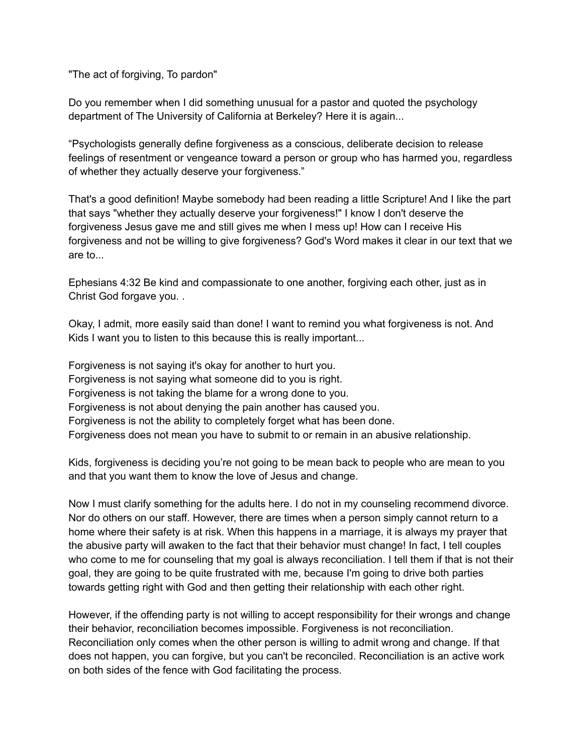"The act of forgiving, To pardon"

Do you remember when I did something unusual for a pastor and quoted the psychology department of The University of California at Berkeley? Here it is again...

"Psychologists generally define forgiveness as a conscious, deliberate decision to release feelings of resentment or vengeance toward a person or group who has harmed you, regardless of whether they actually deserve your forgiveness."

That's a good definition! Maybe somebody had been reading a little Scripture! And I like the part that says "whether they actually deserve your forgiveness!" I know I don't deserve the forgiveness Jesus gave me and still gives me when I mess up! How can I receive His forgiveness and not be willing to give forgiveness? God's Word makes it clear in our text that we are to...

Ephesians 4:32 Be kind and compassionate to one another, forgiving each other, just as in Christ God forgave you. .

Okay, I admit, more easily said than done! I want to remind you what forgiveness is not. And Kids I want you to listen to this because this is really important...

Forgiveness is not saying it's okay for another to hurt you. Forgiveness is not saying what someone did to you is right. Forgiveness is not taking the blame for a wrong done to you. Forgiveness is not about denying the pain another has caused you. Forgiveness is not the ability to completely forget what has been done. Forgiveness does not mean you have to submit to or remain in an abusive relationship.

Kids, forgiveness is deciding you're not going to be mean back to people who are mean to you and that you want them to know the love of Jesus and change.

Now I must clarify something for the adults here. I do not in my counseling recommend divorce. Nor do others on our staff. However, there are times when a person simply cannot return to a home where their safety is at risk. When this happens in a marriage, it is always my prayer that the abusive party will awaken to the fact that their behavior must change! In fact, I tell couples who come to me for counseling that my goal is always reconciliation. I tell them if that is not their goal, they are going to be quite frustrated with me, because I'm going to drive both parties towards getting right with God and then getting their relationship with each other right.

However, if the offending party is not willing to accept responsibility for their wrongs and change their behavior, reconciliation becomes impossible. Forgiveness is not reconciliation. Reconciliation only comes when the other person is willing to admit wrong and change. If that does not happen, you can forgive, but you can't be reconciled. Reconciliation is an active work on both sides of the fence with God facilitating the process.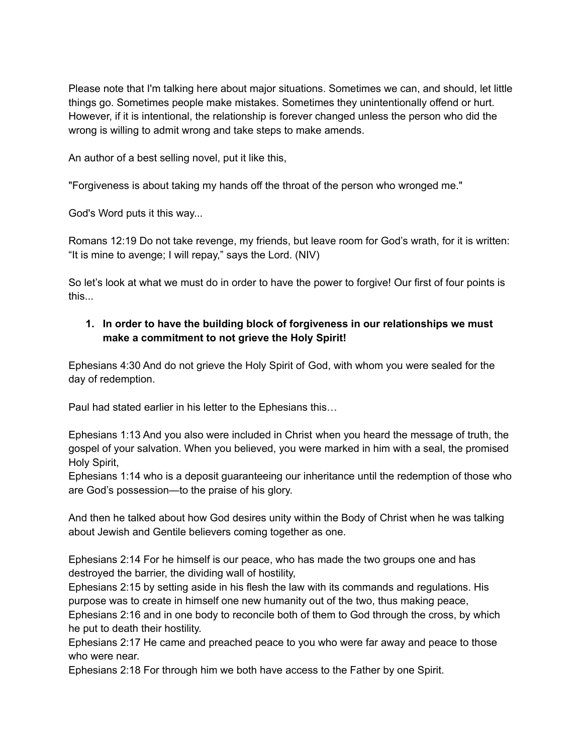Please note that I'm talking here about major situations. Sometimes we can, and should, let little things go. Sometimes people make mistakes. Sometimes they unintentionally offend or hurt. However, if it is intentional, the relationship is forever changed unless the person who did the wrong is willing to admit wrong and take steps to make amends.

An author of a best selling novel, put it like this,

"Forgiveness is about taking my hands off the throat of the person who wronged me."

God's Word puts it this way...

Romans 12:19 Do not take revenge, my friends, but leave room for God's wrath, for it is written: "It is mine to avenge; I will repay," says the Lord. (NIV)

So let's look at what we must do in order to have the power to forgive! Our first of four points is this...

# **1. In order to have the building block of forgiveness in our relationships we must make a commitment to not grieve the Holy Spirit!**

Ephesians 4:30 And do not grieve the Holy Spirit of God, with whom you were sealed for the day of redemption.

Paul had stated earlier in his letter to the Ephesians this…

Ephesians 1:13 And you also were included in Christ when you heard the message of truth, the gospel of your salvation. When you believed, you were marked in him with a seal, the promised Holy Spirit,

Ephesians 1:14 who is a deposit guaranteeing our inheritance until the redemption of those who are God's possession—to the praise of his glory.

And then he talked about how God desires unity within the Body of Christ when he was talking about Jewish and Gentile believers coming together as one.

Ephesians 2:14 For he himself is our peace, who has made the two groups one and has destroyed the barrier, the dividing wall of hostility,

Ephesians 2:15 by setting aside in his flesh the law with its commands and regulations. His purpose was to create in himself one new humanity out of the two, thus making peace,

Ephesians 2:16 and in one body to reconcile both of them to God through the cross, by which he put to death their hostility.

Ephesians 2:17 He came and preached peace to you who were far away and peace to those who were near.

Ephesians 2:18 For through him we both have access to the Father by one Spirit.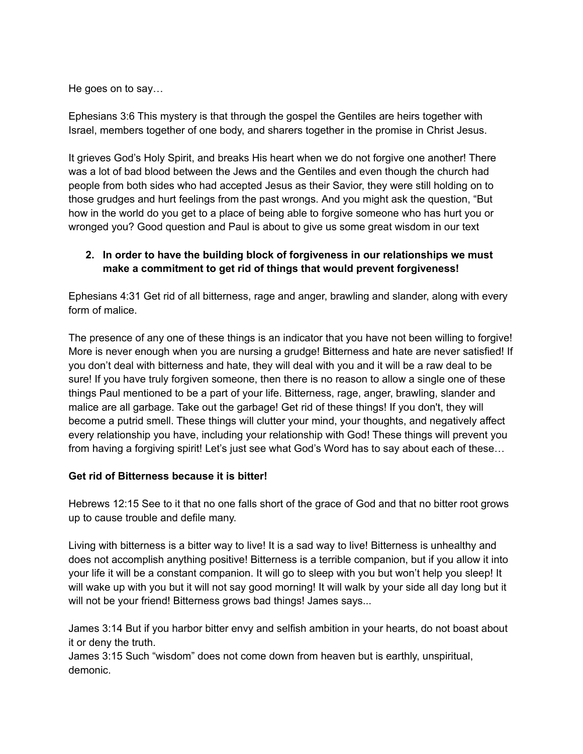He goes on to say…

Ephesians 3:6 This mystery is that through the gospel the Gentiles are heirs together with Israel, members together of one body, and sharers together in the promise in Christ Jesus.

It grieves God's Holy Spirit, and breaks His heart when we do not forgive one another! There was a lot of bad blood between the Jews and the Gentiles and even though the church had people from both sides who had accepted Jesus as their Savior, they were still holding on to those grudges and hurt feelings from the past wrongs. And you might ask the question, "But how in the world do you get to a place of being able to forgive someone who has hurt you or wronged you? Good question and Paul is about to give us some great wisdom in our text

# **2. In order to have the building block of forgiveness in our relationships we must make a commitment to get rid of things that would prevent forgiveness!**

Ephesians 4:31 Get rid of all bitterness, rage and anger, brawling and slander, along with every form of malice.

The presence of any one of these things is an indicator that you have not been willing to forgive! More is never enough when you are nursing a grudge! Bitterness and hate are never satisfied! If you don't deal with bitterness and hate, they will deal with you and it will be a raw deal to be sure! If you have truly forgiven someone, then there is no reason to allow a single one of these things Paul mentioned to be a part of your life. Bitterness, rage, anger, brawling, slander and malice are all garbage. Take out the garbage! Get rid of these things! If you don't, they will become a putrid smell. These things will clutter your mind, your thoughts, and negatively affect every relationship you have, including your relationship with God! These things will prevent you from having a forgiving spirit! Let's just see what God's Word has to say about each of these…

# **Get rid of Bitterness because it is bitter!**

Hebrews 12:15 See to it that no one falls short of the grace of God and that no bitter root grows up to cause trouble and defile many.

Living with bitterness is a bitter way to live! It is a sad way to live! Bitterness is unhealthy and does not accomplish anything positive! Bitterness is a terrible companion, but if you allow it into your life it will be a constant companion. It will go to sleep with you but won't help you sleep! It will wake up with you but it will not say good morning! It will walk by your side all day long but it will not be your friend! Bitterness grows bad things! James says...

James 3:14 But if you harbor bitter envy and selfish ambition in your hearts, do not boast about it or deny the truth.

James 3:15 Such "wisdom" does not come down from heaven but is earthly, unspiritual, demonic.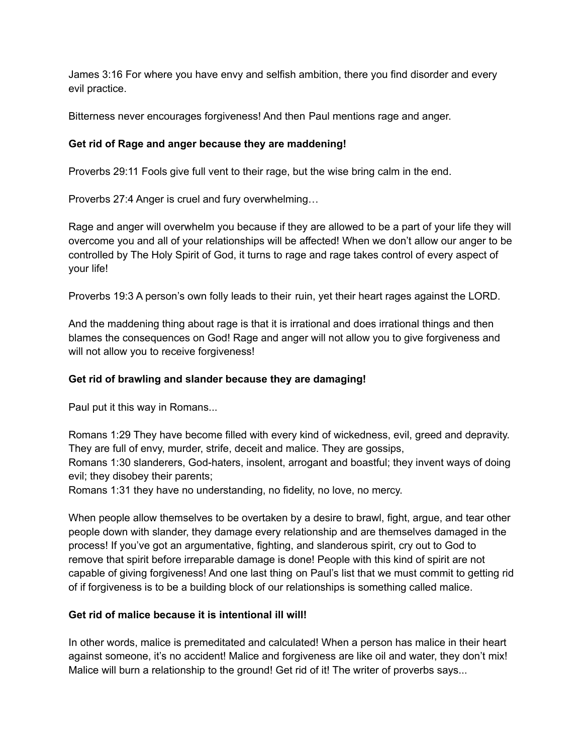James 3:16 For where you have envy and selfish ambition, there you find disorder and every evil practice.

Bitterness never encourages forgiveness! And then Paul mentions rage and anger.

# **Get rid of Rage and anger because they are maddening!**

Proverbs 29:11 Fools give full vent to their rage, but the wise bring calm in the end.

Proverbs 27:4 Anger is cruel and fury overwhelming…

Rage and anger will overwhelm you because if they are allowed to be a part of your life they will overcome you and all of your relationships will be affected! When we don't allow our anger to be controlled by The Holy Spirit of God, it turns to rage and rage takes control of every aspect of your life!

Proverbs 19:3 A person's own folly leads to their ruin, yet their heart rages against the LORD.

And the maddening thing about rage is that it is irrational and does irrational things and then blames the consequences on God! Rage and anger will not allow you to give forgiveness and will not allow you to receive forgiveness!

# **Get rid of brawling and slander because they are damaging!**

Paul put it this way in Romans...

Romans 1:29 They have become filled with every kind of wickedness, evil, greed and depravity. They are full of envy, murder, strife, deceit and malice. They are gossips,

Romans 1:30 slanderers, God-haters, insolent, arrogant and boastful; they invent ways of doing evil; they disobey their parents;

Romans 1:31 they have no understanding, no fidelity, no love, no mercy.

When people allow themselves to be overtaken by a desire to brawl, fight, argue, and tear other people down with slander, they damage every relationship and are themselves damaged in the process! If you've got an argumentative, fighting, and slanderous spirit, cry out to God to remove that spirit before irreparable damage is done! People with this kind of spirit are not capable of giving forgiveness! And one last thing on Paul's list that we must commit to getting rid of if forgiveness is to be a building block of our relationships is something called malice.

# **Get rid of malice because it is intentional ill will!**

In other words, malice is premeditated and calculated! When a person has malice in their heart against someone, it's no accident! Malice and forgiveness are like oil and water, they don't mix! Malice will burn a relationship to the ground! Get rid of it! The writer of proverbs says...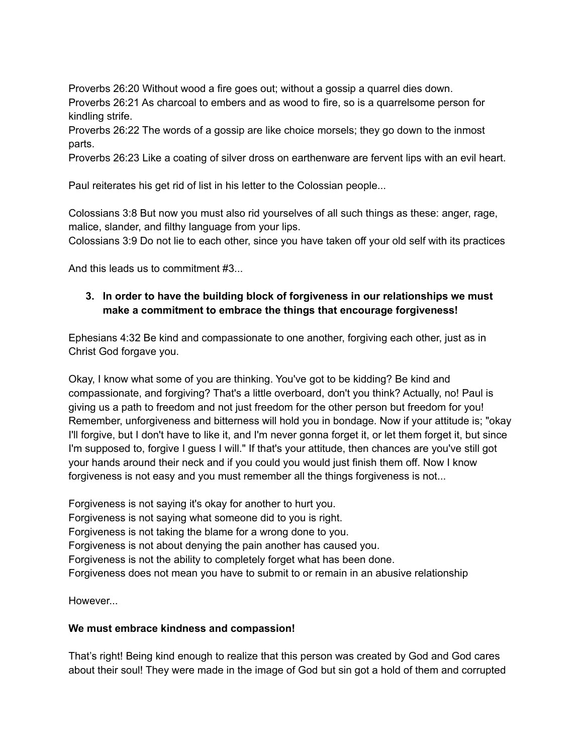Proverbs 26:20 Without wood a fire goes out; without a gossip a quarrel dies down. Proverbs 26:21 As charcoal to embers and as wood to fire, so is a quarrelsome person for kindling strife.

Proverbs 26:22 The words of a gossip are like choice morsels; they go down to the inmost parts.

Proverbs 26:23 Like a coating of silver dross on earthenware are fervent lips with an evil heart.

Paul reiterates his get rid of list in his letter to the Colossian people...

Colossians 3:8 But now you must also rid yourselves of all such things as these: anger, rage, malice, slander, and filthy language from your lips.

Colossians 3:9 Do not lie to each other, since you have taken off your old self with its practices

And this leads us to commitment #3...

### **3. In order to have the building block of forgiveness in our relationships we must make a commitment to embrace the things that encourage forgiveness!**

Ephesians 4:32 Be kind and compassionate to one another, forgiving each other, just as in Christ God forgave you.

Okay, I know what some of you are thinking. You've got to be kidding? Be kind and compassionate, and forgiving? That's a little overboard, don't you think? Actually, no! Paul is giving us a path to freedom and not just freedom for the other person but freedom for you! Remember, unforgiveness and bitterness will hold you in bondage. Now if your attitude is; "okay I'll forgive, but I don't have to like it, and I'm never gonna forget it, or let them forget it, but since I'm supposed to, forgive I guess I will." If that's your attitude, then chances are you've still got your hands around their neck and if you could you would just finish them off. Now I know forgiveness is not easy and you must remember all the things forgiveness is not...

Forgiveness is not saying it's okay for another to hurt you. Forgiveness is not saying what someone did to you is right. Forgiveness is not taking the blame for a wrong done to you. Forgiveness is not about denying the pain another has caused you. Forgiveness is not the ability to completely forget what has been done. Forgiveness does not mean you have to submit to or remain in an abusive relationship

However...

#### **We must embrace kindness and compassion!**

That's right! Being kind enough to realize that this person was created by God and God cares about their soul! They were made in the image of God but sin got a hold of them and corrupted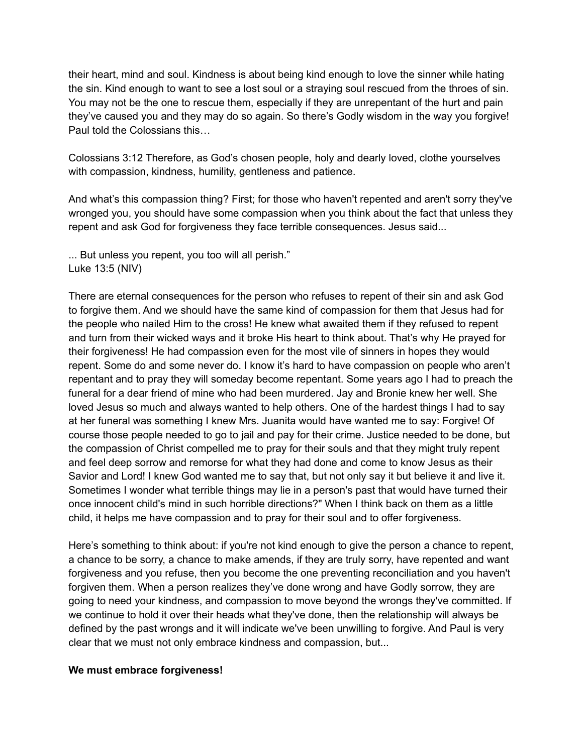their heart, mind and soul. Kindness is about being kind enough to love the sinner while hating the sin. Kind enough to want to see a lost soul or a straying soul rescued from the throes of sin. You may not be the one to rescue them, especially if they are unrepentant of the hurt and pain they've caused you and they may do so again. So there's Godly wisdom in the way you forgive! Paul told the Colossians this…

Colossians 3:12 Therefore, as God's chosen people, holy and dearly loved, clothe yourselves with compassion, kindness, humility, gentleness and patience.

And what's this compassion thing? First; for those who haven't repented and aren't sorry they've wronged you, you should have some compassion when you think about the fact that unless they repent and ask God for forgiveness they face terrible consequences. Jesus said...

... But unless you repent, you too will all perish." Luke 13:5 (NIV)

There are eternal consequences for the person who refuses to repent of their sin and ask God to forgive them. And we should have the same kind of compassion for them that Jesus had for the people who nailed Him to the cross! He knew what awaited them if they refused to repent and turn from their wicked ways and it broke His heart to think about. That's why He prayed for their forgiveness! He had compassion even for the most vile of sinners in hopes they would repent. Some do and some never do. I know it's hard to have compassion on people who aren't repentant and to pray they will someday become repentant. Some years ago I had to preach the funeral for a dear friend of mine who had been murdered. Jay and Bronie knew her well. She loved Jesus so much and always wanted to help others. One of the hardest things I had to say at her funeral was something I knew Mrs. Juanita would have wanted me to say: Forgive! Of course those people needed to go to jail and pay for their crime. Justice needed to be done, but the compassion of Christ compelled me to pray for their souls and that they might truly repent and feel deep sorrow and remorse for what they had done and come to know Jesus as their Savior and Lord! I knew God wanted me to say that, but not only say it but believe it and live it. Sometimes I wonder what terrible things may lie in a person's past that would have turned their once innocent child's mind in such horrible directions?" When I think back on them as a little child, it helps me have compassion and to pray for their soul and to offer forgiveness.

Here's something to think about: if you're not kind enough to give the person a chance to repent, a chance to be sorry, a chance to make amends, if they are truly sorry, have repented and want forgiveness and you refuse, then you become the one preventing reconciliation and you haven't forgiven them. When a person realizes they've done wrong and have Godly sorrow, they are going to need your kindness, and compassion to move beyond the wrongs they've committed. If we continue to hold it over their heads what they've done, then the relationship will always be defined by the past wrongs and it will indicate we've been unwilling to forgive. And Paul is very clear that we must not only embrace kindness and compassion, but...

#### **We must embrace forgiveness!**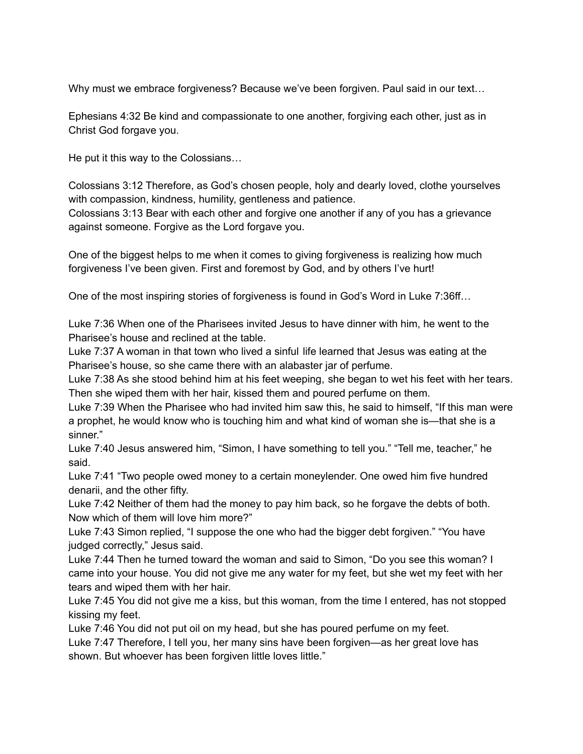Why must we embrace forgiveness? Because we've been forgiven. Paul said in our text…

Ephesians 4:32 Be kind and compassionate to one another, forgiving each other, just as in Christ God forgave you.

He put it this way to the Colossians…

Colossians 3:12 Therefore, as God's chosen people, holy and dearly loved, clothe yourselves with compassion, kindness, humility, gentleness and patience.

Colossians 3:13 Bear with each other and forgive one another if any of you has a grievance against someone. Forgive as the Lord forgave you.

One of the biggest helps to me when it comes to giving forgiveness is realizing how much forgiveness I've been given. First and foremost by God, and by others I've hurt!

One of the most inspiring stories of forgiveness is found in God's Word in Luke 7:36ff…

Luke 7:36 When one of the Pharisees invited Jesus to have dinner with him, he went to the Pharisee's house and reclined at the table.

Luke 7:37 A woman in that town who lived a sinful life learned that Jesus was eating at the Pharisee's house, so she came there with an alabaster jar of perfume.

Luke 7:38 As she stood behind him at his feet weeping, she began to wet his feet with her tears. Then she wiped them with her hair, kissed them and poured perfume on them.

Luke 7:39 When the Pharisee who had invited him saw this, he said to himself, "If this man were a prophet, he would know who is touching him and what kind of woman she is—that she is a sinner."

Luke 7:40 Jesus answered him, "Simon, I have something to tell you." "Tell me, teacher," he said.

Luke 7:41 "Two people owed money to a certain moneylender. One owed him five hundred denarii, and the other fifty.

Luke 7:42 Neither of them had the money to pay him back, so he forgave the debts of both. Now which of them will love him more?"

Luke 7:43 Simon replied, "I suppose the one who had the bigger debt forgiven." "You have judged correctly," Jesus said.

Luke 7:44 Then he turned toward the woman and said to Simon, "Do you see this woman? I came into your house. You did not give me any water for my feet, but she wet my feet with her tears and wiped them with her hair.

Luke 7:45 You did not give me a kiss, but this woman, from the time I entered, has not stopped kissing my feet.

Luke 7:46 You did not put oil on my head, but she has poured perfume on my feet. Luke 7:47 Therefore, I tell you, her many sins have been forgiven—as her great love has shown. But whoever has been forgiven little loves little."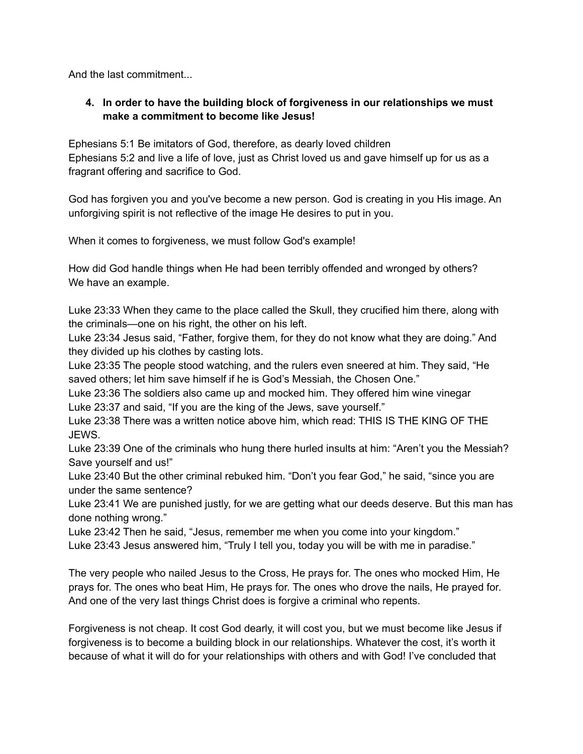And the last commitment...

# **4. In order to have the building block of forgiveness in our relationships we must make a commitment to become like Jesus!**

Ephesians 5:1 Be imitators of God, therefore, as dearly loved children Ephesians 5:2 and live a life of love, just as Christ loved us and gave himself up for us as a fragrant offering and sacrifice to God.

God has forgiven you and you've become a new person. God is creating in you His image. An unforgiving spirit is not reflective of the image He desires to put in you.

When it comes to forgiveness, we must follow God's example!

How did God handle things when He had been terribly offended and wronged by others? We have an example.

Luke 23:33 When they came to the place called the Skull, they crucified him there, along with the criminals—one on his right, the other on his left.

Luke 23:34 Jesus said, "Father, forgive them, for they do not know what they are doing." And they divided up his clothes by casting lots.

Luke 23:35 The people stood watching, and the rulers even sneered at him. They said, "He saved others; let him save himself if he is God's Messiah, the Chosen One."

Luke 23:36 The soldiers also came up and mocked him. They offered him wine vinegar Luke 23:37 and said, "If you are the king of the Jews, save yourself."

Luke 23:38 There was a written notice above him, which read: THIS IS THE KING OF THE JEWS.

Luke 23:39 One of the criminals who hung there hurled insults at him: "Aren't you the Messiah? Save yourself and us!"

Luke 23:40 But the other criminal rebuked him. "Don't you fear God," he said, "since you are under the same sentence?

Luke 23:41 We are punished justly, for we are getting what our deeds deserve. But this man has done nothing wrong."

Luke 23:42 Then he said, "Jesus, remember me when you come into your kingdom."

Luke 23:43 Jesus answered him, "Truly I tell you, today you will be with me in paradise."

The very people who nailed Jesus to the Cross, He prays for. The ones who mocked Him, He prays for. The ones who beat Him, He prays for. The ones who drove the nails, He prayed for. And one of the very last things Christ does is forgive a criminal who repents.

Forgiveness is not cheap. It cost God dearly, it will cost you, but we must become like Jesus if forgiveness is to become a building block in our relationships. Whatever the cost, it's worth it because of what it will do for your relationships with others and with God! I've concluded that